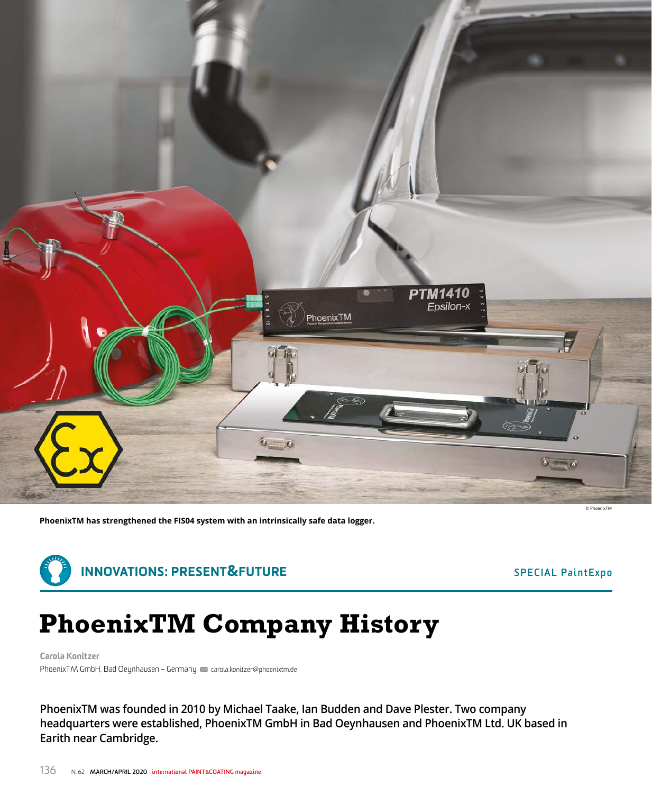

**PhoenixTM has strengthened the FIS04 system with an intrinsically safe data logger.**



# **PhoenixTM Company History**

Carola Konitzer PhoenixTM GmbH, Bad Oeynhausen – Germany M carola.konitzer@phoenixtm.de

**PhoenixTM was founded in 2010 by Michael Taake, Ian Budden and Dave Plester. Two company headquarters were established, PhoenixTM GmbH in Bad Oeynhausen and PhoenixTM Ltd. UK based in Earith near Cambridge.**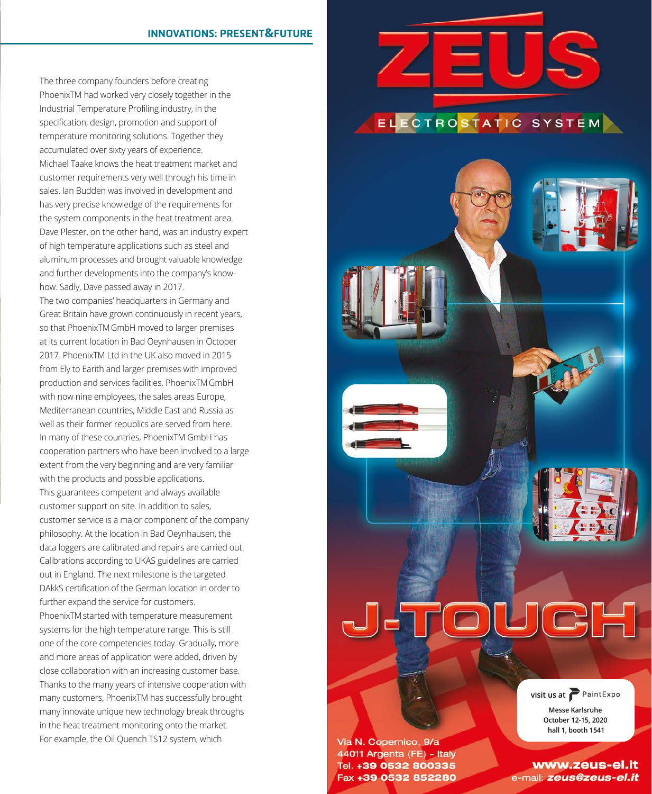## INNOVATIONS: PRESENT **&**FUTURE

The three company founders before creating PhoenixTM had worked very closely together in the Industrial Temperature Profiling industry, in the specification, design, promotion and support of temperature monitoring solutions. Together they accumulated over sixty years of experience. Michael Taake knows the heat treatment market and customer requirements very well through his time in sales. Ian Budden was involved in development and has very precise knowledge of the requirements for the system components in the heat treatment area. Dave Plester, on the other hand, was an industry expert of high temperature applications such as steel and aluminum processes and brought valuable knowledge and further developments into the company's knowhow. Sadly, Dave passed away in 2017. The two companies' headquarters in Germany and Great Britain have grown continuously in recent years, so that PhoenixTMGmbH moved to larger premises at its current location in Bad Oeynhausen in October 2017. PhoenixTM Ltd in the UK also moved in 2015 from Ely to Earith and larger premises with improved production and services facilities. PhoenixTMGmbH with now nine employees, the sales areas Europe, Mediterranean countries, Middle East and Russia as well as their former republics are served from here. In many of these countries, PhoenixTM GmbH has cooperation partners who have been involved to a large extent from the very beginning and are very familiar with the products and possible applications. This guarantees competent and always available customer support on site. In addition to sales, customer service is a major component of the company philosophy. At the location in Bad Oeynhausen, the data loggers are calibrated and repairs are carried out. Calibrations according to UKAS guidelines are carried out in England. The next milestone is the targeted DAkkS certification of the German location in order to further expand the service for customers. PhoenixTM started with temperature measurement systems for the high temperature range. This is still one of the core competencies today. Gradually, more and more areas of application were added, driven by close collaboration with an increasing customer base. Thanks to the many years of intensive cooperation with many customers, PhoenixTM has successfully brought many innovate unique new technology break throughs in the heat treatment monitoring onto the market. For example, the Oil Quench TS12 system, which



## ELECTROSTATIC SYSTEM



Via N. Copernico, 9/a 44011 Argenta (FE) - Italy Tel. +39 0532 800335 Fax +39 0532 852280

www.zeus-el.it

e-mail: zeus@zeus-el.it